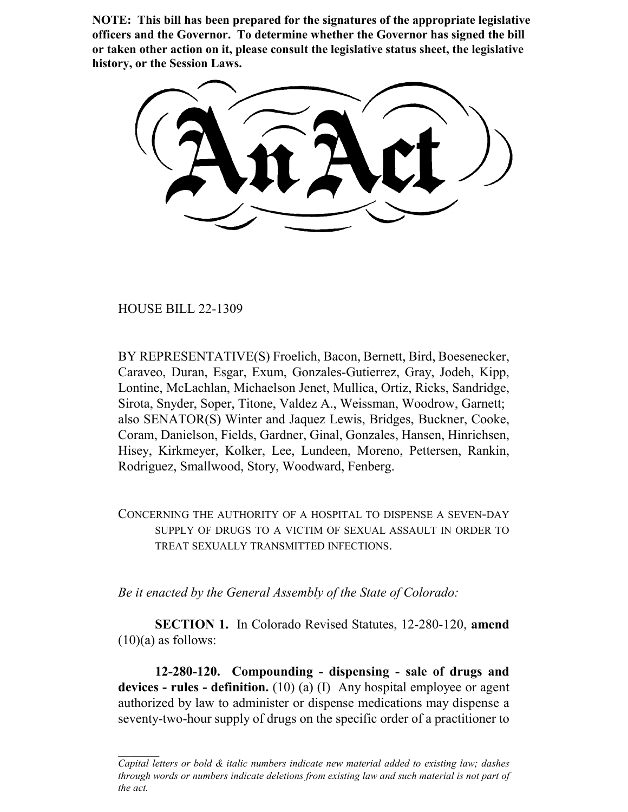**NOTE: This bill has been prepared for the signatures of the appropriate legislative officers and the Governor. To determine whether the Governor has signed the bill or taken other action on it, please consult the legislative status sheet, the legislative history, or the Session Laws.**

HOUSE BILL 22-1309

BY REPRESENTATIVE(S) Froelich, Bacon, Bernett, Bird, Boesenecker, Caraveo, Duran, Esgar, Exum, Gonzales-Gutierrez, Gray, Jodeh, Kipp, Lontine, McLachlan, Michaelson Jenet, Mullica, Ortiz, Ricks, Sandridge, Sirota, Snyder, Soper, Titone, Valdez A., Weissman, Woodrow, Garnett; also SENATOR(S) Winter and Jaquez Lewis, Bridges, Buckner, Cooke, Coram, Danielson, Fields, Gardner, Ginal, Gonzales, Hansen, Hinrichsen, Hisey, Kirkmeyer, Kolker, Lee, Lundeen, Moreno, Pettersen, Rankin, Rodriguez, Smallwood, Story, Woodward, Fenberg.

CONCERNING THE AUTHORITY OF A HOSPITAL TO DISPENSE A SEVEN-DAY SUPPLY OF DRUGS TO A VICTIM OF SEXUAL ASSAULT IN ORDER TO TREAT SEXUALLY TRANSMITTED INFECTIONS.

*Be it enacted by the General Assembly of the State of Colorado:*

**SECTION 1.** In Colorado Revised Statutes, 12-280-120, **amend**  $(10)(a)$  as follows:

**12-280-120. Compounding - dispensing - sale of drugs and devices - rules - definition.** (10) (a) (I) Any hospital employee or agent authorized by law to administer or dispense medications may dispense a seventy-two-hour supply of drugs on the specific order of a practitioner to

*Capital letters or bold & italic numbers indicate new material added to existing law; dashes through words or numbers indicate deletions from existing law and such material is not part of the act.*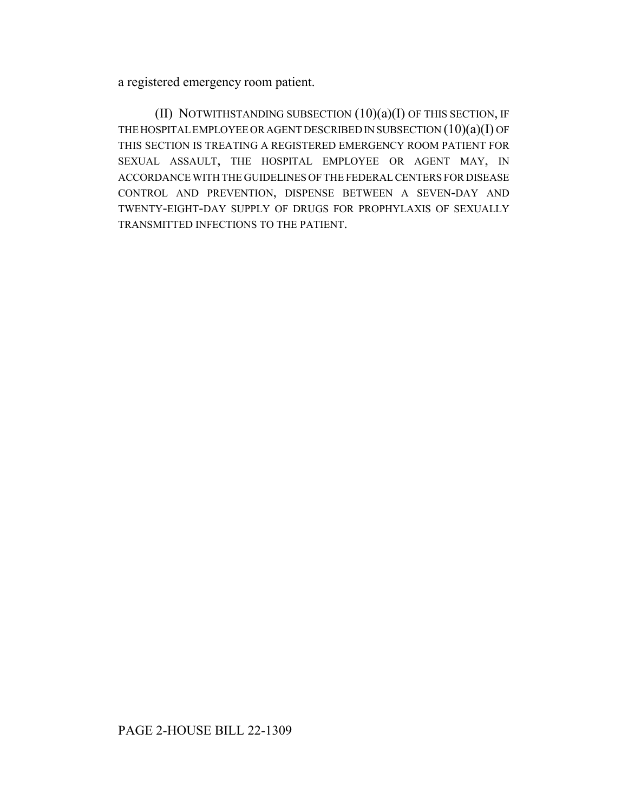a registered emergency room patient.

(II) NOTWITHSTANDING SUBSECTION (10)(a)(I) OF THIS SECTION, IF THE HOSPITAL EMPLOYEE OR AGENT DESCRIBED IN SUBSECTION (10)(a)(I) OF THIS SECTION IS TREATING A REGISTERED EMERGENCY ROOM PATIENT FOR SEXUAL ASSAULT, THE HOSPITAL EMPLOYEE OR AGENT MAY, IN ACCORDANCE WITH THE GUIDELINES OF THE FEDERAL CENTERS FOR DISEASE CONTROL AND PREVENTION, DISPENSE BETWEEN A SEVEN-DAY AND TWENTY-EIGHT-DAY SUPPLY OF DRUGS FOR PROPHYLAXIS OF SEXUALLY TRANSMITTED INFECTIONS TO THE PATIENT.